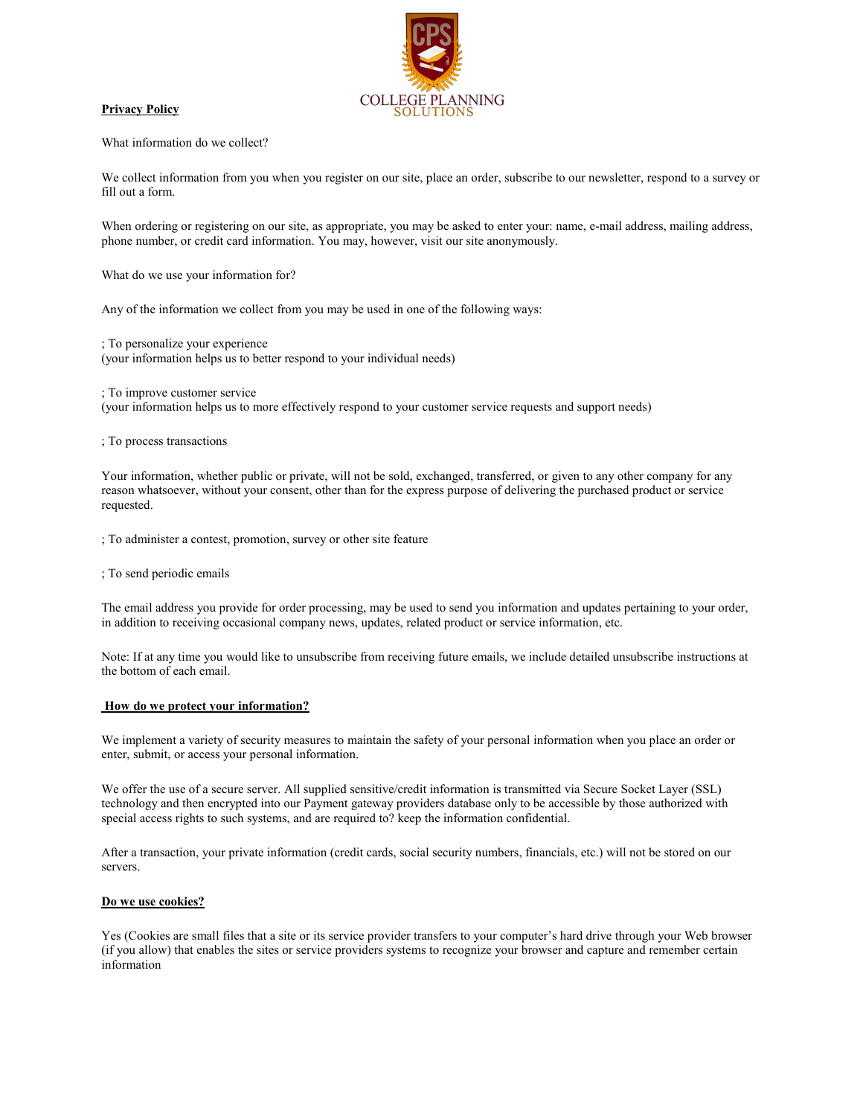# **COLLEGE PLANNING**

### **Privacy Policy**

What information do we collect?

We collect information from you when you register on our site, place an order, subscribe to our newsletter, respond to a survey or fill out a form.

When ordering or registering on our site, as appropriate, you may be asked to enter your: name, e-mail address, mailing address, phone number, or credit card information. You may, however, visit our site anonymously.

What do we use your information for?

Any of the information we collect from you may be used in one of the following ways:

; To personalize your experience (your information helps us to better respond to your individual needs)

; To improve customer service (your information helps us to more effectively respond to your customer service requests and support needs)

; To process transactions

Your information, whether public or private, will not be sold, exchanged, transferred, or given to any other company for any reason whatsoever, without your consent, other than for the express purpose of delivering the purchased product or service requested.

; To administer a contest, promotion, survey or other site feature

; To send periodic emails

The email address you provide for order processing, may be used to send you information and updates pertaining to your order, in addition to receiving occasional company news, updates, related product or service information, etc.

Note: If at any time you would like to unsubscribe from receiving future emails, we include detailed unsubscribe instructions at the bottom of each email.

### **How do we protect your information?**

We implement a variety of security measures to maintain the safety of your personal information when you place an order or enter, submit, or access your personal information.

We offer the use of a secure server. All supplied sensitive/credit information is transmitted via Secure Socket Layer (SSL) technology and then encrypted into our Payment gateway providers database only to be accessible by those authorized with special access rights to such systems, and are required to? keep the information confidential.

After a transaction, your private information (credit cards, social security numbers, financials, etc.) will not be stored on our servers.

# **Do we use cookies?**

Yes (Cookies are small files that a site or its service provider transfers to your computer's hard drive through your Web browser (if you allow) that enables the sites or service providers systems to recognize your browser and capture and remember certain information